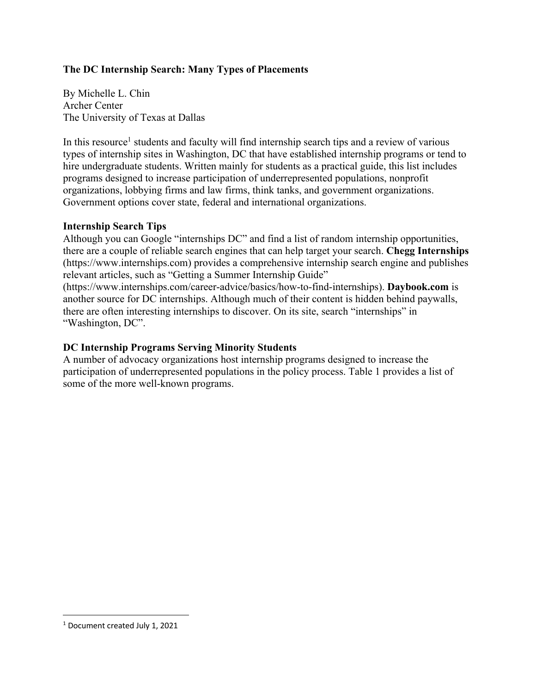## **The DC Internship Search: Many Types of Placements**

By Michelle L. Chin Archer Center The University of Texas at Dallas

In this resource<sup>1</sup> students and faculty will find internship search tips and a review of various types of internship sites in Washington, DC that have established internship programs or tend to hire undergraduate students. Written mainly for students as a practical guide, this list includes programs designed to increase participation of underrepresented populations, nonprofit organizations, lobbying firms and law firms, think tanks, and government organizations. Government options cover state, federal and international organizations.

### **Internship Search Tips**

Although you can Google "internships DC" and find a list of random internship opportunities, there are a couple of reliable search engines that can help target your search. **Chegg Internships**  (https://www.internships.com) provides a comprehensive internship search engine and publishes relevant articles, such as "Getting a Summer Internship Guide" (https://www.internships.com/career-advice/basics/how-to-find-internships). **Daybook.com** is another source for DC internships. Although much of their content is hidden behind paywalls, there are often interesting internships to discover. On its site, search "internships" in "Washington, DC".

### **DC Internship Programs Serving Minority Students**

A number of advocacy organizations host internship programs designed to increase the participation of underrepresented populations in the policy process. Table 1 provides a list of some of the more well-known programs.

<sup>1</sup> Document created July 1, 2021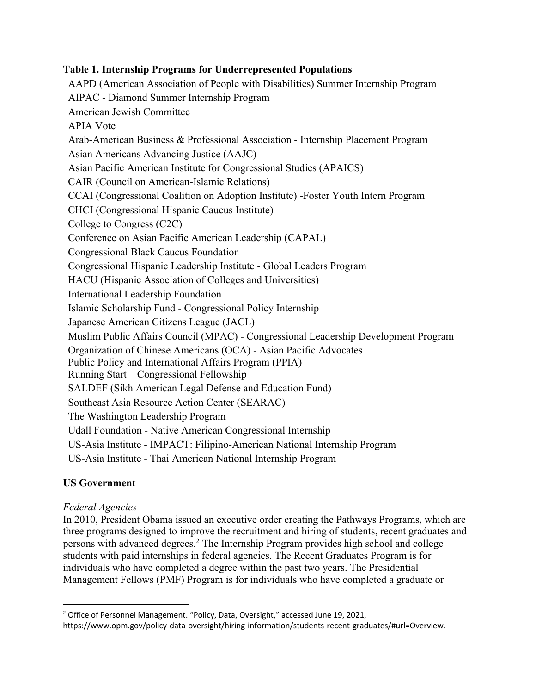## **Table 1. Internship Programs for Underrepresented Populations**

AAPD (American Association of People with Disabilities) Summer Internship Program AIPAC - Diamond Summer Internship Program American Jewish Committee APIA Vote Arab-American Business & Professional Association - Internship Placement Program Asian Americans Advancing Justice (AAJC) Asian Pacific American Institute for Congressional Studies (APAICS) CAIR (Council on American-Islamic Relations) CCAI (Congressional Coalition on Adoption Institute) -Foster Youth Intern Program CHCI (Congressional Hispanic Caucus Institute) College to Congress (C2C) Conference on Asian Pacific American Leadership (CAPAL) Congressional Black Caucus Foundation Congressional Hispanic Leadership Institute - Global Leaders Program HACU (Hispanic Association of Colleges and Universities) International Leadership Foundation Islamic Scholarship Fund - Congressional Policy Internship Japanese American Citizens League (JACL) Muslim Public Affairs Council (MPAC) - Congressional Leadership Development Program Organization of Chinese Americans (OCA) - Asian Pacific Advocates Public Policy and International Affairs Program (PPIA) Running Start – Congressional Fellowship SALDEF (Sikh American Legal Defense and Education Fund) Southeast Asia Resource Action Center (SEARAC) The Washington Leadership Program Udall Foundation - Native American Congressional Internship US-Asia Institute - IMPACT: Filipino-American National Internship Program US-Asia Institute - Thai American National Internship Program

# **US Government**

### *Federal Agencies*

In 2010, President Obama issued an executive order creating the Pathways Programs, which are three programs designed to improve the recruitment and hiring of students, recent graduates and persons with advanced degrees.2 The Internship Program provides high school and college students with paid internships in federal agencies. The Recent Graduates Program is for individuals who have completed a degree within the past two years. The Presidential Management Fellows (PMF) Program is for individuals who have completed a graduate or

<sup>&</sup>lt;sup>2</sup> Office of Personnel Management. "Policy, Data, Oversight," accessed June 19, 2021,

https://www.opm.gov/policy-data-oversight/hiring-information/students-recent-graduates/#url=Overview.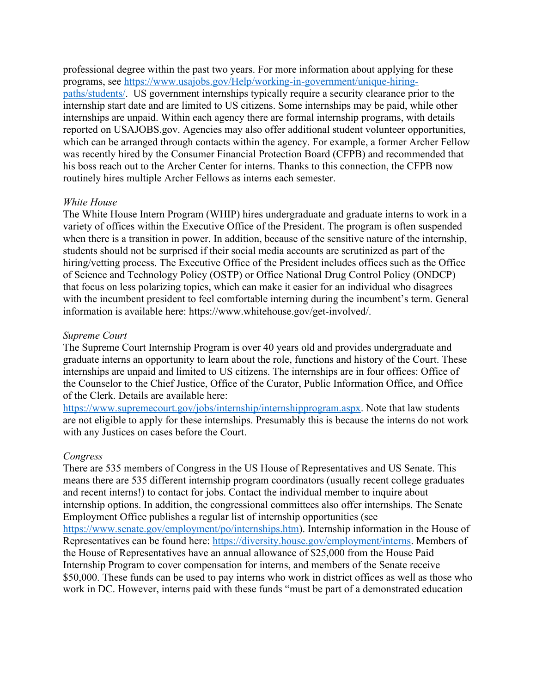professional degree within the past two years. For more information about applying for these programs, see https://www.usajobs.gov/Help/working-in-government/unique-hiringpaths/students/. US government internships typically require a security clearance prior to the internship start date and are limited to US citizens. Some internships may be paid, while other internships are unpaid. Within each agency there are formal internship programs, with details reported on USAJOBS.gov. Agencies may also offer additional student volunteer opportunities, which can be arranged through contacts within the agency. For example, a former Archer Fellow was recently hired by the Consumer Financial Protection Board (CFPB) and recommended that his boss reach out to the Archer Center for interns. Thanks to this connection, the CFPB now routinely hires multiple Archer Fellows as interns each semester.

#### *White House*

The White House Intern Program (WHIP) hires undergraduate and graduate interns to work in a variety of offices within the Executive Office of the President. The program is often suspended when there is a transition in power. In addition, because of the sensitive nature of the internship, students should not be surprised if their social media accounts are scrutinized as part of the hiring/vetting process. The Executive Office of the President includes offices such as the Office of Science and Technology Policy (OSTP) or Office National Drug Control Policy (ONDCP) that focus on less polarizing topics, which can make it easier for an individual who disagrees with the incumbent president to feel comfortable interning during the incumbent's term. General information is available here: https://www.whitehouse.gov/get-involved/.

#### *Supreme Court*

The Supreme Court Internship Program is over 40 years old and provides undergraduate and graduate interns an opportunity to learn about the role, functions and history of the Court. These internships are unpaid and limited to US citizens. The internships are in four offices: Office of the Counselor to the Chief Justice, Office of the Curator, Public Information Office, and Office of the Clerk. Details are available here:

https://www.supremecourt.gov/jobs/internship/internshipprogram.aspx. Note that law students are not eligible to apply for these internships. Presumably this is because the interns do not work with any Justices on cases before the Court.

#### *Congress*

There are 535 members of Congress in the US House of Representatives and US Senate. This means there are 535 different internship program coordinators (usually recent college graduates and recent interns!) to contact for jobs. Contact the individual member to inquire about internship options. In addition, the congressional committees also offer internships. The Senate Employment Office publishes a regular list of internship opportunities (see https://www.senate.gov/employment/po/internships.htm). Internship information in the House of Representatives can be found here: https://diversity.house.gov/employment/interns. Members of the House of Representatives have an annual allowance of \$25,000 from the House Paid Internship Program to cover compensation for interns, and members of the Senate receive \$50,000. These funds can be used to pay interns who work in district offices as well as those who work in DC. However, interns paid with these funds "must be part of a demonstrated education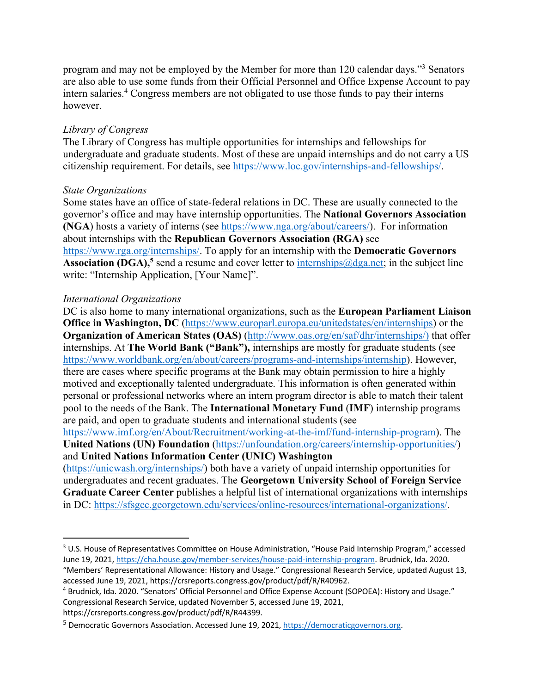program and may not be employed by the Member for more than 120 calendar days."3 Senators are also able to use some funds from their Official Personnel and Office Expense Account to pay intern salaries.4 Congress members are not obligated to use those funds to pay their interns however.

### *Library of Congress*

The Library of Congress has multiple opportunities for internships and fellowships for undergraduate and graduate students. Most of these are unpaid internships and do not carry a US citizenship requirement. For details, see https://www.loc.gov/internships-and-fellowships/.

### *State Organizations*

Some states have an office of state-federal relations in DC. These are usually connected to the governor's office and may have internship opportunities. The **National Governors Association (NGA)** hosts a variety of interns (see https://www.nga.org/about/careers/). For information about internships with the **Republican Governors Association (RGA)** see https://www.rga.org/internships/. To apply for an internship with the **Democratic Governors Association (DGA),<sup>5</sup>** send a resume and cover letter to internships  $\omega$  dga, net; in the subject line write: "Internship Application, [Your Name]".

### *International Organizations*

DC is also home to many international organizations, such as the **European Parliament Liaison Office in Washington, DC** (https://www.europarl.europa.eu/unitedstates/en/internships) or the **Organization of American States (OAS)** (http://www.oas.org/en/saf/dhr/internships/) that offer internships. At **The World Bank ("Bank"),** internships are mostly for graduate students (see https://www.worldbank.org/en/about/careers/programs-and-internships/internship). However, there are cases where specific programs at the Bank may obtain permission to hire a highly motived and exceptionally talented undergraduate. This information is often generated within personal or professional networks where an intern program director is able to match their talent pool to the needs of the Bank. The **International Monetary Fund** (**IMF**) internship programs are paid, and open to graduate students and international students (see

https://www.imf.org/en/About/Recruitment/working-at-the-imf/fund-internship-program). The **United Nations (UN) Foundation** (https://unfoundation.org/careers/internship-opportunities/) and **United Nations Information Center (UNIC) Washington** 

(https://unicwash.org/internships/) both have a variety of unpaid internship opportunities for undergraduates and recent graduates. The **Georgetown University School of Foreign Service Graduate Career Center** publishes a helpful list of international organizations with internships in DC: https://sfsgcc.georgetown.edu/services/online-resources/international-organizations/.

<sup>&</sup>lt;sup>3</sup> U.S. House of Representatives Committee on House Administration, "House Paid Internship Program," accessed June 19, 2021, https://cha.house.gov/member-services/house-paid-internship-program. Brudnick, Ida. 2020. "Members' Representational Allowance: History and Usage." Congressional Research Service, updated August 13,

accessed June 19, 2021, https://crsreports.congress.gov/product/pdf/R/R40962.

<sup>4</sup> Brudnick, Ida. 2020. "Senators' Official Personnel and Office Expense Account (SOPOEA): History and Usage." Congressional Research Service, updated November 5, accessed June 19, 2021, https://crsreports.congress.gov/product/pdf/R/R44399.

<sup>5</sup> Democratic Governors Association. Accessed June 19, 2021, https://democraticgovernors.org.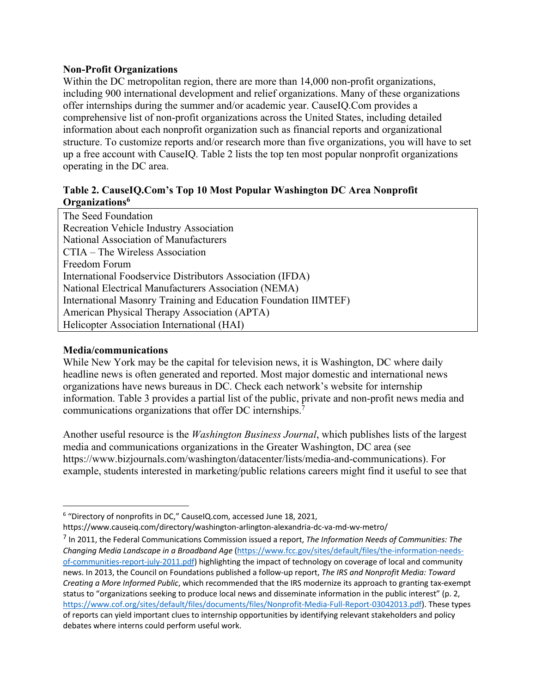#### **Non-Profit Organizations**

Within the DC metropolitan region, there are more than 14,000 non-profit organizations, including 900 international development and relief organizations. Many of these organizations offer internships during the summer and/or academic year. CauseIQ.Com provides a comprehensive list of non-profit organizations across the United States, including detailed information about each nonprofit organization such as financial reports and organizational structure. To customize reports and/or research more than five organizations, you will have to set up a free account with CauseIQ. Table 2 lists the top ten most popular nonprofit organizations operating in the DC area.

### **Table 2. CauseIQ.Com's Top 10 Most Popular Washington DC Area Nonprofit Organizations6**

| The Seed Foundation                                             |
|-----------------------------------------------------------------|
| Recreation Vehicle Industry Association                         |
| National Association of Manufacturers                           |
| CTIA – The Wireless Association                                 |
| Freedom Forum                                                   |
| International Foodservice Distributors Association (IFDA)       |
| National Electrical Manufacturers Association (NEMA)            |
| International Masonry Training and Education Foundation IIMTEF) |
| American Physical Therapy Association (APTA)                    |
| Helicopter Association International (HAI)                      |

#### **Media/communications**

While New York may be the capital for television news, it is Washington, DC where daily headline news is often generated and reported. Most major domestic and international news organizations have news bureaus in DC. Check each network's website for internship information. Table 3 provides a partial list of the public, private and non-profit news media and communications organizations that offer DC internships.7

Another useful resource is the *Washington Business Journal*, which publishes lists of the largest media and communications organizations in the Greater Washington, DC area (see https://www.bizjournals.com/washington/datacenter/lists/media-and-communications). For example, students interested in marketing/public relations careers might find it useful to see that

<sup>6</sup> "Directory of nonprofits in DC," CauseIQ.com, accessed June 18, 2021,

https://www.causeiq.com/directory/washington-arlington-alexandria-dc-va-md-wv-metro/

<sup>7</sup> In 2011, the Federal Communications Commission issued a report, *The Information Needs of Communities: The Changing Media Landscape in a Broadband Age* (https://www.fcc.gov/sites/default/files/the-information-needsof-communities-report-july-2011.pdf) highlighting the impact of technology on coverage of local and community news. In 2013, the Council on Foundations published a follow-up report, *The IRS and Nonprofit Media: Toward Creating a More Informed Public*, which recommended that the IRS modernize its approach to granting tax-exempt status to "organizations seeking to produce local news and disseminate information in the public interest" (p. 2, https://www.cof.org/sites/default/files/documents/files/Nonprofit-Media-Full-Report-03042013.pdf). These types of reports can yield important clues to internship opportunities by identifying relevant stakeholders and policy debates where interns could perform useful work.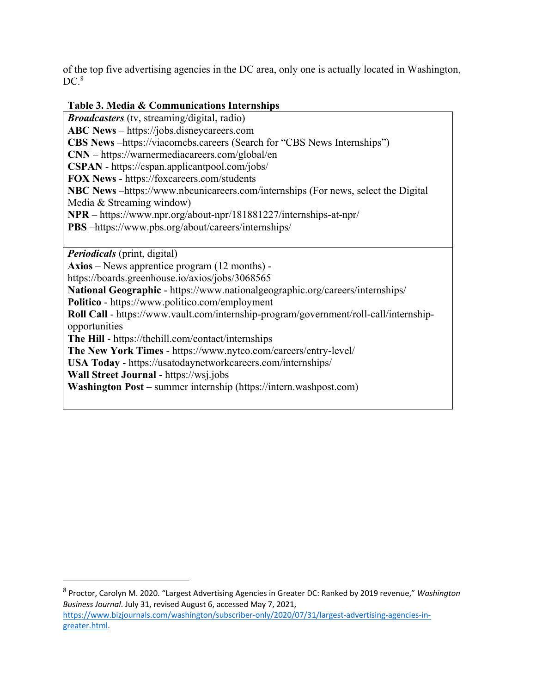of the top five advertising agencies in the DC area, only one is actually located in Washington,  $DC<sup>8</sup>$ 

### **Table 3. Media & Communications Internships**

*Broadcasters* (tv, streaming/digital, radio) **ABC News** – https://jobs.disneycareers.com **CBS News** –https://viacomcbs.careers (Search for "CBS News Internships") **CNN** – https://warnermediacareers.com/global/en **CSPAN** - https://cspan.applicantpool.com/jobs/ **FOX News** - https://foxcareers.com/students **NBC News** –https://www.nbcunicareers.com/internships (For news, select the Digital Media & Streaming window) **NPR** – https://www.npr.org/about-npr/181881227/internships-at-npr/ **PBS** –https://www.pbs.org/about/careers/internships/

*Periodicals* (print, digital)

**Axios** – News apprentice program (12 months) https://boards.greenhouse.io/axios/jobs/3068565

**National Geographic** - https://www.nationalgeographic.org/careers/internships/

**Politico** - https://www.politico.com/employment

**Roll Call** - https://www.vault.com/internship-program/government/roll-call/internshipopportunities

**The Hill** - https://thehill.com/contact/internships

**The New York Times** - https://www.nytco.com/careers/entry-level/

**USA Today** - https://usatodaynetworkcareers.com/internships/

**Wall Street Journal** - https://wsj.jobs

**Washington Post** – summer internship (https://intern.washpost.com)

<sup>8</sup> Proctor, Carolyn M. 2020. "Largest Advertising Agencies in Greater DC: Ranked by 2019 revenue," *Washington Business Journal*. July 31, revised August 6, accessed May 7, 2021, https://www.bizjournals.com/washington/subscriber-only/2020/07/31/largest-advertising-agencies-ingreater.html.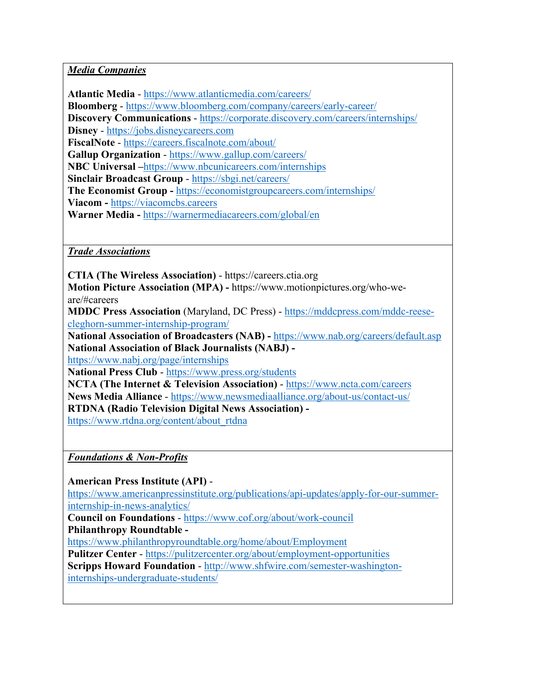## *Media Companies*

**Atlantic Media** - https://www.atlanticmedia.com/careers/

**Bloomberg** - https://www.bloomberg.com/company/careers/early-career/

**Discovery Communications** - https://corporate.discovery.com/careers/internships/

**Disney** - https://jobs.disneycareers.com

**FiscalNote** - https://careers.fiscalnote.com/about/

**Gallup Organization** - https://www.gallup.com/careers/

**NBC Universal –**https://www.nbcunicareers.com/internships

**Sinclair Broadcast Group** - https://sbgi.net/careers/

**The Economist Group -** https://economistgroupcareers.com/internships/

**Viacom -** https://viacomcbs.careers

**Warner Media -** https://warnermediacareers.com/global/en

*Trade Associations*

**CTIA (The Wireless Association)** - https://careers.ctia.org

**Motion Picture Association (MPA) -** https://www.motionpictures.org/who-weare/#careers

**MDDC Press Association** (Maryland, DC Press) - https://mddcpress.com/mddc-reesecleghorn-summer-internship-program/

**National Association of Broadcasters (NAB) -** https://www.nab.org/careers/default.asp **National Association of Black Journalists (NABJ) -**

https://www.nabj.org/page/internships

**National Press Club** - https://www.press.org/students

**NCTA (The Internet & Television Association)** - https://www.ncta.com/careers **News Media Alliance** - https://www.newsmediaalliance.org/about-us/contact-us/ **RTDNA (Radio Television Digital News Association)**  https://www.rtdna.org/content/about\_rtdna

*Foundations & Non-Profits*

**American Press Institute (API)** -

https://www.americanpressinstitute.org/publications/api-updates/apply-for-our-summerinternship-in-news-analytics/

**Council on Foundations** - https://www.cof.org/about/work-council **Philanthropy Roundtable -**

https://www.philanthropyroundtable.org/home/about/Employment

**Pulitzer Center** - https://pulitzercenter.org/about/employment-opportunities

**Scripps Howard Foundation** - http://www.shfwire.com/semester-washingtoninternships-undergraduate-students/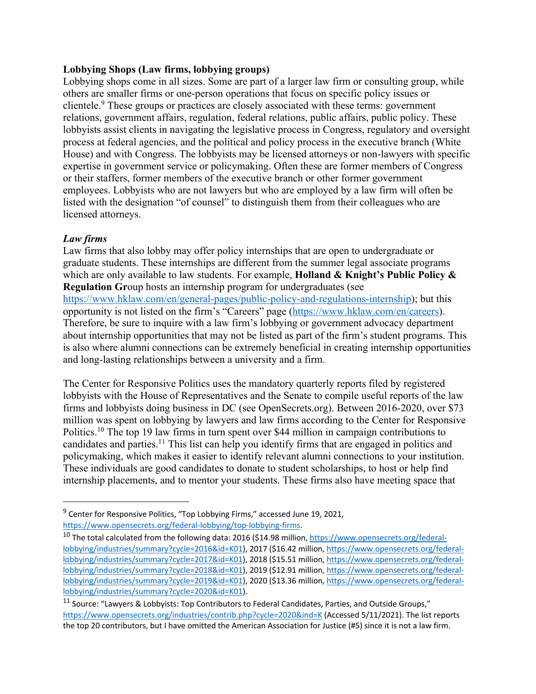#### **Lobbying Shops (Law firms, lobbying groups)**

Lobbying shops come in all sizes. Some are part of a larger law firm or consulting group, while others are smaller firms or one-person operations that focus on specific policy issues or clientele. <sup>9</sup> These groups or practices are closely associated with these terms: government relations, government affairs, regulation, federal relations, public affairs, public policy. These lobbyists assist clients in navigating the legislative process in Congress, regulatory and oversight process at federal agencies, and the political and policy process in the executive branch (White House) and with Congress. The lobbyists may be licensed attorneys or non-lawyers with specific expertise in government service or policymaking. Often these are former members of Congress or their staffers, former members of the executive branch or other former government employees. Lobbyists who are not lawyers but who are employed by a law firm will often be listed with the designation "of counsel" to distinguish them from their colleagues who are licensed attorneys.

### *Law firms*

Law firms that also lobby may offer policy internships that are open to undergraduate or graduate students. These internships are different from the summer legal associate programs which are only available to law students. For example, **Holland & Knight's Public Policy & Regulation Gr**oup hosts an internship program for undergraduates (see https://www.hklaw.com/en/general-pages/public-policy-and-regulations-internship); but this opportunity is not listed on the firm's "Careers" page (https://www.hklaw.com/en/careers). Therefore, be sure to inquire with a law firm's lobbying or government advocacy department about internship opportunities that may not be listed as part of the firm's student programs. This is also where alumni connections can be extremely beneficial in creating internship opportunities and long-lasting relationships between a university and a firm.

The Center for Responsive Politics uses the mandatory quarterly reports filed by registered lobbyists with the House of Representatives and the Senate to compile useful reports of the law firms and lobbyists doing business in DC (see OpenSecrets.org). Between 2016-2020, over \$73 million was spent on lobbying by lawyers and law firms according to the Center for Responsive Politics.10 The top 19 law firms in turn spent over \$44 million in campaign contributions to candidates and parties.11 This list can help you identify firms that are engaged in politics and policymaking, which makes it easier to identify relevant alumni connections to your institution. These individuals are good candidates to donate to student scholarships, to host or help find internship placements, and to mentor your students. These firms also have meeting space that

<sup>&</sup>lt;sup>9</sup> Center for Responsive Politics, "Top Lobbying Firms," accessed June 19, 2021,

https://www.opensecrets.org/federal-lobbying/top-lobbying-firms.<br><sup>10</sup> The total calculated from the following data: 2016 (\$14.98 million, https://www.opensecrets.org/federallobbying/industries/summary?cycle=2016&id=K01), 2017 (\$16.42 million, https://www.opensecrets.org/federallobbying/industries/summary?cycle=2017&id=K01), 2018 (\$15.51 million, https://www.opensecrets.org/federallobbying/industries/summary?cycle=2018&id=K01), 2019 (\$12.91 million, https://www.opensecrets.org/federallobbying/industries/summary?cycle=2019&id=K01), 2020 (\$13.36 million, https://www.opensecrets.org/federallobbying/industries/summary?cycle=2020&id=K01).

<sup>11</sup> Source: "Lawyers & Lobbyists: Top Contributors to Federal Candidates, Parties, and Outside Groups," https://www.opensecrets.org/industries/contrib.php?cycle=2020&ind=K (Accessed 5/11/2021). The list reports the top 20 contributors, but I have omitted the American Association for Justice (#5) since it is not a law firm.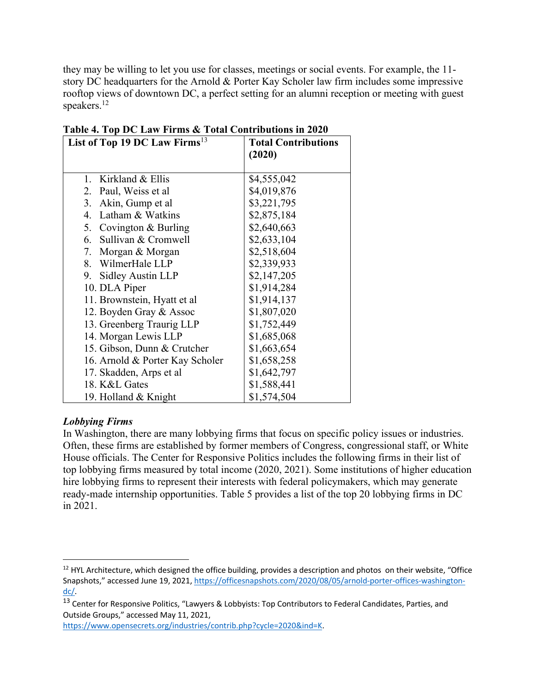they may be willing to let you use for classes, meetings or social events. For example, the 11 story DC headquarters for the Arnold & Porter Kay Scholer law firm includes some impressive rooftop views of downtown DC, a perfect setting for an alumni reception or meeting with guest speakers.<sup>12</sup>

| List of Top 19 DC Law Firms <sup>13</sup> | <b>Total Contributions</b> |
|-------------------------------------------|----------------------------|
|                                           | (2020)                     |
|                                           |                            |
| 1. Kirkland & Ellis                       | \$4,555,042                |
| 2.<br>Paul, Weiss et al                   | \$4,019,876                |
| 3.<br>Akin, Gump et al                    | \$3,221,795                |
| 4. Latham & Watkins                       | \$2,875,184                |
| 5. Covington & Burling                    | \$2,640,663                |
| 6.<br>Sullivan & Cromwell                 | \$2,633,104                |
| 7. Morgan & Morgan                        | \$2,518,604                |
| 8. WilmerHale LLP                         | \$2,339,933                |
| Sidley Austin LLP<br>9.                   | \$2,147,205                |
| 10. DLA Piper                             | \$1,914,284                |
| 11. Brownstein, Hyatt et al               | \$1,914,137                |
| 12. Boyden Gray & Assoc                   | \$1,807,020                |
| 13. Greenberg Traurig LLP                 | \$1,752,449                |
| 14. Morgan Lewis LLP                      | \$1,685,068                |
| 15. Gibson, Dunn & Crutcher               | \$1,663,654                |
| 16. Arnold & Porter Kay Scholer           | \$1,658,258                |
| 17. Skadden, Arps et al                   | \$1,642,797                |
| 18. K&L Gates                             | \$1,588,441                |
| 19. Holland & Knight                      | \$1,574,504                |

## **Table 4. Top DC Law Firms & Total Contributions in 2020**

### *Lobbying Firms*

In Washington, there are many lobbying firms that focus on specific policy issues or industries. Often, these firms are established by former members of Congress, congressional staff, or White House officials. The Center for Responsive Politics includes the following firms in their list of top lobbying firms measured by total income (2020, 2021). Some institutions of higher education hire lobbying firms to represent their interests with federal policymakers, which may generate ready-made internship opportunities. Table 5 provides a list of the top 20 lobbying firms in DC in 2021.

https://www.opensecrets.org/industries/contrib.php?cycle=2020&ind=K.

 $12$  HYL Architecture, which designed the office building, provides a description and photos on their website, "Office Snapshots," accessed June 19, 2021, https://officesnapshots.com/2020/08/05/arnold-porter-offices-washingtondc/.

<sup>&</sup>lt;sup>13</sup> Center for Responsive Politics, "Lawyers & Lobbyists: Top Contributors to Federal Candidates, Parties, and Outside Groups," accessed May 11, 2021,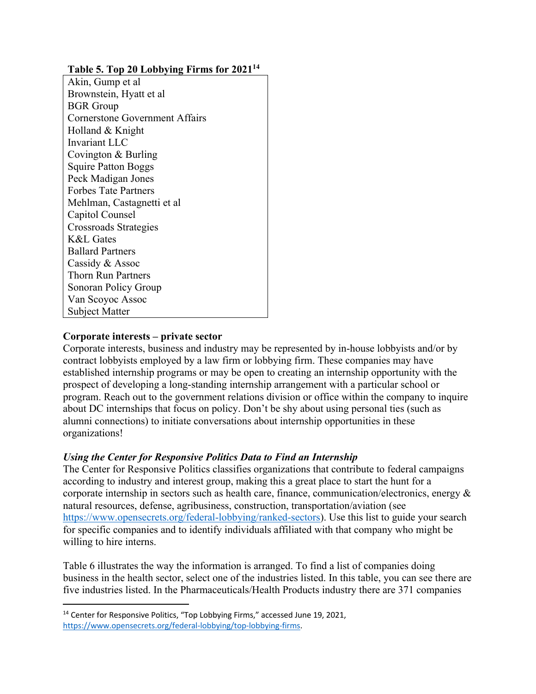### **Table 5. Top 20 Lobbying Firms for 202114**

Akin, Gump et al Brownstein, Hyatt et al BGR Group Cornerstone Government Affairs Holland & Knight Invariant LLC Covington & Burling Squire Patton Boggs Peck Madigan Jones Forbes Tate Partners Mehlman, Castagnetti et al Capitol Counsel Crossroads Strategies K&L Gates Ballard Partners Cassidy & Assoc Thorn Run Partners Sonoran Policy Group Van Scoyoc Assoc Subject Matter

### **Corporate interests – private sector**

Corporate interests, business and industry may be represented by in-house lobbyists and/or by contract lobbyists employed by a law firm or lobbying firm. These companies may have established internship programs or may be open to creating an internship opportunity with the prospect of developing a long-standing internship arrangement with a particular school or program. Reach out to the government relations division or office within the company to inquire about DC internships that focus on policy. Don't be shy about using personal ties (such as alumni connections) to initiate conversations about internship opportunities in these organizations!

### *Using the Center for Responsive Politics Data to Find an Internship*

The Center for Responsive Politics classifies organizations that contribute to federal campaigns according to industry and interest group, making this a great place to start the hunt for a corporate internship in sectors such as health care, finance, communication/electronics, energy & natural resources, defense, agribusiness, construction, transportation/aviation (see https://www.opensecrets.org/federal-lobbying/ranked-sectors). Use this list to guide your search for specific companies and to identify individuals affiliated with that company who might be willing to hire interns.

Table 6 illustrates the way the information is arranged. To find a list of companies doing business in the health sector, select one of the industries listed. In this table, you can see there are five industries listed. In the Pharmaceuticals/Health Products industry there are 371 companies

<sup>&</sup>lt;sup>14</sup> Center for Responsive Politics, "Top Lobbying Firms," accessed June 19, 2021, https://www.opensecrets.org/federal-lobbying/top-lobbying-firms.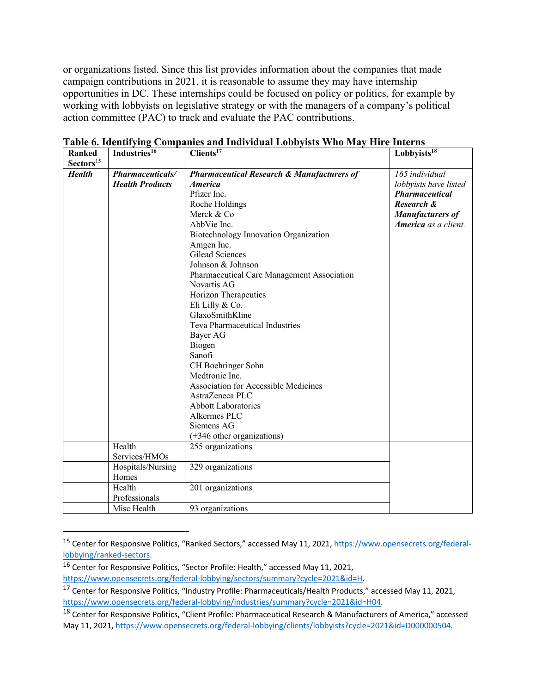or organizations listed. Since this list provides information about the companies that made campaign contributions in 2021, it is reasonable to assume they may have internship opportunities in DC. These internships could be focused on policy or politics, for example by working with lobbyists on legislative strategy or with the managers of a company's political action committee (PAC) to track and evaluate the PAC contributions.

| <b>Ranked</b>         | Industries <sup>16</sup> | Clients <sup>17</sup>                                 | Lobbyists <sup>18</sup> |
|-----------------------|--------------------------|-------------------------------------------------------|-------------------------|
| Sectors <sup>15</sup> |                          |                                                       |                         |
| <b>Health</b>         | <b>Pharmaceuticals/</b>  | <b>Pharmaceutical Research &amp; Manufacturers of</b> | 165 individual          |
|                       | <b>Health Products</b>   | <i><b>America</b></i>                                 | lobbyists have listed   |
|                       |                          | Pfizer Inc.                                           | <b>Pharmaceutical</b>   |
|                       |                          | Roche Holdings                                        | Research &              |
|                       |                          | Merck & Co                                            | <b>Manufacturers of</b> |
|                       |                          | AbbVie Inc.                                           | America as a client.    |
|                       |                          | Biotechnology Innovation Organization                 |                         |
|                       |                          | Amgen Inc.                                            |                         |
|                       |                          | Gilead Sciences                                       |                         |
|                       |                          | Johnson & Johnson                                     |                         |
|                       |                          | Pharmaceutical Care Management Association            |                         |
|                       |                          | Novartis AG                                           |                         |
|                       |                          | Horizon Therapeutics                                  |                         |
|                       |                          | Eli Lilly & Co.                                       |                         |
|                       |                          | GlaxoSmithKline                                       |                         |
|                       |                          | Teva Pharmaceutical Industries                        |                         |
|                       |                          | Bayer AG                                              |                         |
|                       |                          | Biogen                                                |                         |
|                       |                          | Sanofi                                                |                         |
|                       |                          | CH Boehringer Sohn                                    |                         |
|                       |                          | Medtronic Inc.                                        |                         |
|                       |                          | Association for Accessible Medicines                  |                         |
|                       |                          | AstraZeneca PLC                                       |                         |
|                       |                          | <b>Abbott Laboratories</b>                            |                         |
|                       |                          | Alkermes PLC                                          |                         |
|                       |                          | Siemens AG                                            |                         |
|                       |                          | (+346 other organizations)                            |                         |
|                       | Health                   | 255 organizations                                     |                         |
|                       | Services/HMOs            |                                                       |                         |
|                       | Hospitals/Nursing        | 329 organizations                                     |                         |
|                       | Homes                    |                                                       |                         |
|                       | Health                   | 201 organizations                                     |                         |
|                       | Professionals            |                                                       |                         |
|                       | Misc Health              | 93 organizations                                      |                         |

**Table 6. Identifying Companies and Individual Lobbyists Who May Hire Interns**

<sup>15</sup> Center for Responsive Politics, "Ranked Sectors," accessed May 11, 2021, https://www.opensecrets.org/federallobbying/ranked-sectors.

<sup>16</sup> Center for Responsive Politics, "Sector Profile: Health," accessed May 11, 2021,

https://www.opensecrets.org/federal-lobbying/sectors/summary?cycle=2021&id=H.

<sup>17&</sup>lt;br><sup>17</sup> Center for Responsive Politics, "Industry Profile: Pharmaceuticals/Health Products," accessed May 11, 2021, https://www.opensecrets.org/federal-lobbying/industries/summary?cycle=2021&id=H04.

<sup>&</sup>lt;sup>18</sup> Center for Responsive Politics, "Client Profile: Pharmaceutical Research & Manufacturers of America," accessed May 11, 2021, https://www.opensecrets.org/federal-lobbying/clients/lobbyists?cycle=2021&id=D000000504.